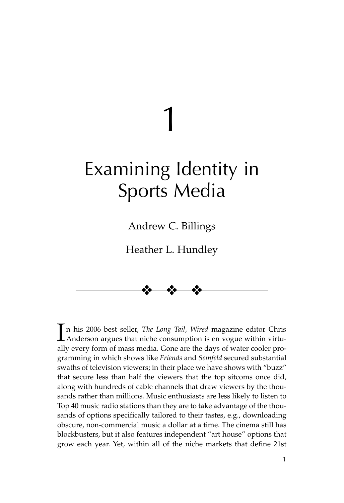# Examining Identity in Sports Media

1

Andrew C. Billings

Heather L. Hundley



 $\prod$ n his 2006 best seller, *The Long Tail*, *Wired* magazine editor Chris Anderson argues that niche consumption is en vogue within virtun his 2006 best seller, *The Long Tail, Wired* magazine editor Chris ally every form of mass media. Gone are the days of water cooler programming in which shows like *Friends* and *Seinfeld* secured substantial swaths of television viewers; in their place we have shows with "buzz" that secure less than half the viewers that the top sitcoms once did, along with hundreds of cable channels that draw viewers by the thousands rather than millions. Music enthusiasts are less likely to listen to Top 40 music radio stations than they are to take advantage of the thousands of options specifically tailored to their tastes, e.g., downloading obscure, non-commercial music a dollar at a time. The cinema still has blockbusters, but it also features independent "art house" options that grow each year. Yet, within all of the niche markets that define 21st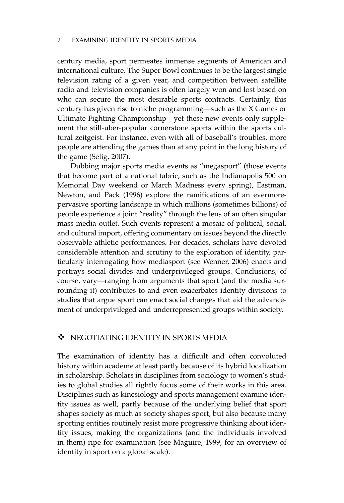century media, sport permeates immense segments of American and international culture. The Super Bowl continues to be the largest single television rating of a given year, and competition between satellite radio and television companies is often largely won and lost based on who can secure the most desirable sports contracts. Certainly, this century has given rise to niche programming—such as the X Games or Ultimate Fighting Championship—yet these new events only supplement the still-uber-popular cornerstone sports within the sports cultural zeitgeist. For instance, even with all of baseball's troubles, more people are attending the games than at any point in the long history of the game (Selig, 2007).

Dubbing major sports media events as "megasport" (those events that become part of a national fabric, such as the Indianapolis 500 on Memorial Day weekend or March Madness every spring), Eastman, Newton, and Pack (1996) explore the ramifications of an evermorepervasive sporting landscape in which millions (sometimes billions) of people experience a joint "reality" through the lens of an often singular mass media outlet. Such events represent a mosaic of political, social, and cultural import, offering commentary on issues beyond the directly observable athletic performances. For decades, scholars have devoted considerable attention and scrutiny to the exploration of identity, particularly interrogating how mediasport (see Wenner, 2006) enacts and portrays social divides and underprivileged groups. Conclusions, of course, vary—ranging from arguments that sport (and the media surrounding it) contributes to and even exacerbates identity divisions to studies that argue sport can enact social changes that aid the advancement of underprivileged and underrepresented groups within society.

#### $\cdot$ NEGOTIATING IDENTITY IN SPORTS MEDIA

The examination of identity has a difficult and often convoluted history within academe at least partly because of its hybrid localization in scholarship. Scholars in disciplines from sociology to women's studies to global studies all rightly focus some of their works in this area. Disciplines such as kinesiology and sports management examine identity issues as well, partly because of the underlying belief that sport shapes society as much as society shapes sport, but also because many sporting entities routinely resist more progressive thinking about identity issues, making the organizations (and the individuals involved in them) ripe for examination (see Maguire, 1999, for an overview of identity in sport on a global scale).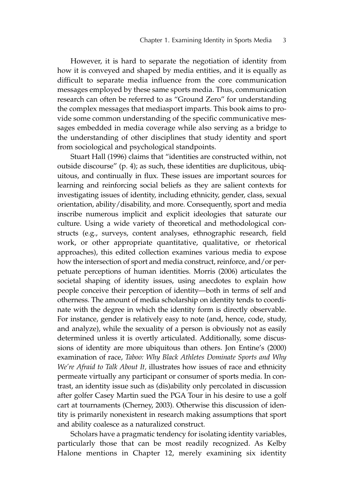However, it is hard to separate the negotiation of identity from how it is conveyed and shaped by media entities, and it is equally as difficult to separate media influence from the core communication messages employed by these same sports media. Thus, communication research can often be referred to as "Ground Zero" for understanding the complex messages that mediasport imparts. This book aims to provide some common understanding of the specific communicative messages embedded in media coverage while also serving as a bridge to the understanding of other disciplines that study identity and sport from sociological and psychological standpoints.

Stuart Hall (1996) claims that "identities are constructed within, not outside discourse" (p. 4); as such, these identities are duplicitous, ubiquitous, and continually in flux. These issues are important sources for learning and reinforcing social beliefs as they are salient contexts for investigating issues of identity, including ethnicity, gender, class, sexual orientation, ability/disability, and more. Consequently, sport and media inscribe numerous implicit and explicit ideologies that saturate our culture. Using a wide variety of theoretical and methodological constructs (e.g., surveys, content analyses, ethnographic research, field work, or other appropriate quantitative, qualitative, or rhetorical approaches), this edited collection examines various media to expose how the intersection of sport and media construct, reinforce, and/or perpetuate perceptions of human identities. Morris (2006) articulates the societal shaping of identity issues, using anecdotes to explain how people conceive their perception of identity—both in terms of self and otherness. The amount of media scholarship on identity tends to coordinate with the degree in which the identity form is directly observable. For instance, gender is relatively easy to note (and, hence, code, study, and analyze), while the sexuality of a person is obviously not as easily determined unless it is overtly articulated. Additionally, some discussions of identity are more ubiquitous than others. Jon Entine's (2000) examination of race, *Taboo: Why Black Athletes Dominate Sports and Why We're Afraid to Talk About It,* illustrates how issues of race and ethnicity permeate virtually any participant or consumer of sports media. In contrast, an identity issue such as (dis)ability only percolated in discussion after golfer Casey Martin sued the PGA Tour in his desire to use a golf cart at tournaments (Cherney, 2003). Otherwise this discussion of identity is primarily nonexistent in research making assumptions that sport and ability coalesce as a naturalized construct.

Scholars have a pragmatic tendency for isolating identity variables, particularly those that can be most readily recognized. As Kelby Halone mentions in Chapter 12, merely examining six identity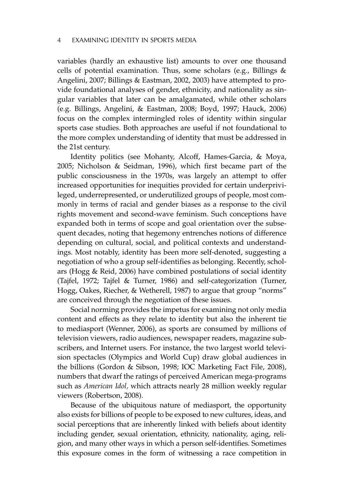variables (hardly an exhaustive list) amounts to over one thousand cells of potential examination. Thus, some scholars (e.g., Billings  $\&$ Angelini, 2007; Billings & Eastman, 2002, 2003) have attempted to provide foundational analyses of gender, ethnicity, and nationality as singular variables that later can be amalgamated, while other scholars (e.g. Billings, Angelini, & Eastman, 2008; Boyd, 1997; Hauck, 2006) focus on the complex intermingled roles of identity within singular sports case studies. Both approaches are useful if not foundational to the more complex understanding of identity that must be addressed in the 21st century.

Identity politics (see Mohanty, Alcoff, Hames-Garcia, & Moya, 2005; Nicholson & Seidman, 1996), which first became part of the public consciousness in the 1970s, was largely an attempt to offer increased opportunities for inequities provided for certain underprivileged, underrepresented, or underutilized groups of people, most commonly in terms of racial and gender biases as a response to the civil rights movement and second-wave feminism. Such conceptions have expanded both in terms of scope and goal orientation over the subsequent decades, noting that hegemony entrenches notions of difference depending on cultural, social, and political contexts and understandings. Most notably, identity has been more self-denoted, suggesting a negotiation of who a group self-identifies as belonging. Recently, scholars (Hogg & Reid, 2006) have combined postulations of social identity (Tajfel, 1972; Tajfel & Turner, 1986) and self-categorization (Turner, Hogg, Oakes, Riecher, & Wetherell, 1987) to argue that group "norms" are conceived through the negotiation of these issues.

Social norming provides the impetus for examining not only media content and effects as they relate to identity but also the inherent tie to mediasport (Wenner, 2006), as sports are consumed by millions of television viewers, radio audiences, newspaper readers, magazine subscribers, and Internet users. For instance, the two largest world television spectacles (Olympics and World Cup) draw global audiences in the billions (Gordon & Sibson, 1998; IOC Marketing Fact File, 2008), numbers that dwarf the ratings of perceived American mega-programs such as *American Idol,* which attracts nearly 28 million weekly regular viewers (Robertson, 2008).

Because of the ubiquitous nature of mediasport, the opportunity also exists for billions of people to be exposed to new cultures, ideas, and social perceptions that are inherently linked with beliefs about identity including gender, sexual orientation, ethnicity, nationality, aging, religion, and many other ways in which a person self-identifies. Sometimes this exposure comes in the form of witnessing a race competition in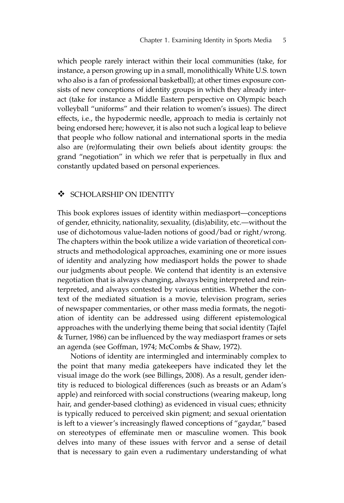which people rarely interact within their local communities (take, for instance, a person growing up in a small, monolithically White U.S. town who also is a fan of professional basketball); at other times exposure consists of new conceptions of identity groups in which they already interact (take for instance a Middle Eastern perspective on Olympic beach volleyball "uniforms" and their relation to women's issues). The direct effects, i.e., the hypodermic needle, approach to media is certainly not being endorsed here; however, it is also not such a logical leap to believe that people who follow national and international sports in the media also are (re)formulating their own beliefs about identity groups: the grand "negotiation" in which we refer that is perpetually in flux and constantly updated based on personal experiences.

#### $\ddot{\bullet}$ SCHOLARSHIP ON IDENTITY

This book explores issues of identity within mediasport—conceptions of gender, ethnicity, nationality, sexuality, (dis)ability, etc.—without the use of dichotomous value-laden notions of good/bad or right/wrong. The chapters within the book utilize a wide variation of theoretical constructs and methodological approaches, examining one or more issues of identity and analyzing how mediasport holds the power to shade our judgments about people. We contend that identity is an extensive negotiation that is always changing, always being interpreted and reinterpreted, and always contested by various entities. Whether the context of the mediated situation is a movie, television program, series of newspaper commentaries, or other mass media formats, the negotiation of identity can be addressed using different epistemological approaches with the underlying theme being that social identity (Tajfel & Turner, 1986) can be influenced by the way mediasport frames or sets an agenda (see Goffman, 1974; McCombs & Shaw, 1972).

Notions of identity are intermingled and interminably complex to the point that many media gatekeepers have indicated they let the visual image do the work (see Billings, 2008). As a result, gender identity is reduced to biological differences (such as breasts or an Adam's apple) and reinforced with social constructions (wearing makeup, long hair, and gender-based clothing) as evidenced in visual cues; ethnicity is typically reduced to perceived skin pigment; and sexual orientation is left to a viewer's increasingly flawed conceptions of "gaydar," based on stereotypes of effeminate men or masculine women. This book delves into many of these issues with fervor and a sense of detail that is necessary to gain even a rudimentary understanding of what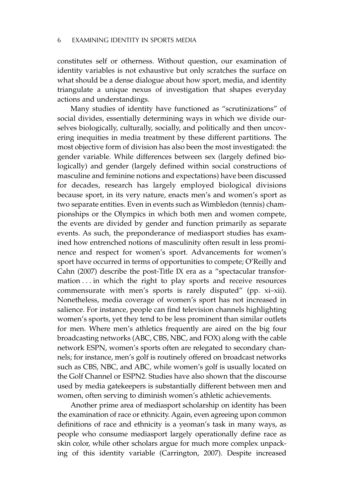constitutes self or otherness. Without question, our examination of identity variables is not exhaustive but only scratches the surface on what should be a dense dialogue about how sport, media, and identity triangulate a unique nexus of investigation that shapes everyday actions and understandings.

Many studies of identity have functioned as "scrutinizations" of social divides, essentially determining ways in which we divide ourselves biologically, culturally, socially, and politically and then uncovering inequities in media treatment by these different partitions. The most objective form of division has also been the most investigated: the gender variable. While differences between sex (largely defined biologically) and gender (largely defined within social constructions of masculine and feminine notions and expectations) have been discussed for decades, research has largely employed biological divisions because sport, in its very nature, enacts men's and women's sport as two separate entities. Even in events such as Wimbledon (tennis) championships or the Olympics in which both men and women compete, the events are divided by gender and function primarily as separate events. As such, the preponderance of mediasport studies has examined how entrenched notions of masculinity often result in less prominence and respect for women's sport. Advancements for women's sport have occurred in terms of opportunities to compete; O'Reilly and Cahn (2007) describe the post-Title IX era as a "spectacular transformation ... in which the right to play sports and receive resources commensurate with men's sports is rarely disputed" (pp. xi–xii). Nonetheless, media coverage of women's sport has not increased in salience. For instance, people can find television channels highlighting women's sports, yet they tend to be less prominent than similar outlets for men. Where men's athletics frequently are aired on the big four broadcasting networks (ABC, CBS, NBC, and FOX) along with the cable network ESPN, women's sports often are relegated to secondary channels; for instance, men's golf is routinely offered on broadcast networks such as CBS, NBC, and ABC, while women's golf is usually located on the Golf Channel or ESPN2. Studies have also shown that the discourse used by media gatekeepers is substantially different between men and women, often serving to diminish women's athletic achievements.

Another prime area of mediasport scholarship on identity has been the examination of race or ethnicity. Again, even agreeing upon common definitions of race and ethnicity is a yeoman's task in many ways, as people who consume mediasport largely operationally define race as skin color, while other scholars argue for much more complex unpacking of this identity variable (Carrington, 2007). Despite increased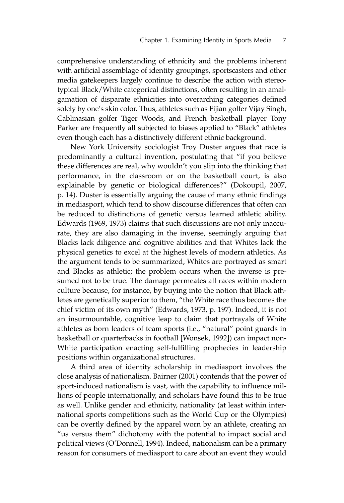comprehensive understanding of ethnicity and the problems inherent with artificial assemblage of identity groupings, sportscasters and other media gatekeepers largely continue to describe the action with stereotypical Black/White categorical distinctions, often resulting in an amalgamation of disparate ethnicities into overarching categories defined solely by one's skin color. Thus, athletes such as Fijian golfer Vijay Singh, Cablinasian golfer Tiger Woods, and French basketball player Tony Parker are frequently all subjected to biases applied to "Black" athletes even though each has a distinctively different ethnic background.

New York University sociologist Troy Duster argues that race is predominantly a cultural invention, postulating that "if you believe these differences are real, why wouldn't you slip into the thinking that performance, in the classroom or on the basketball court, is also explainable by genetic or biological differences?" (Dokoupil, 2007, p. 14). Duster is essentially arguing the cause of many ethnic findings in mediasport, which tend to show discourse differences that often can be reduced to distinctions of genetic versus learned athletic ability. Edwards (1969, 1973) claims that such discussions are not only inaccurate, they are also damaging in the inverse, seemingly arguing that Blacks lack diligence and cognitive abilities and that Whites lack the physical genetics to excel at the highest levels of modern athletics. As the argument tends to be summarized, Whites are portrayed as smart and Blacks as athletic; the problem occurs when the inverse is presumed not to be true. The damage permeates all races within modern culture because, for instance, by buying into the notion that Black athletes are genetically superior to them, "the White race thus becomes the chief victim of its own myth" (Edwards, 1973, p. 197). Indeed, it is not an insurmountable, cognitive leap to claim that portrayals of White athletes as born leaders of team sports (i.e., "natural" point guards in basketball or quarterbacks in football [Wonsek, 1992]) can impact non-White participation enacting self-fulfilling prophecies in leadership positions within organizational structures.

A third area of identity scholarship in mediasport involves the close analysis of nationalism. Bairner (2001) contends that the power of sport-induced nationalism is vast, with the capability to influence millions of people internationally, and scholars have found this to be true as well. Unlike gender and ethnicity, nationality (at least within international sports competitions such as the World Cup or the Olympics) can be overtly defined by the apparel worn by an athlete, creating an "us versus them" dichotomy with the potential to impact social and political views (O'Donnell, 1994). Indeed, nationalism can be a primary reason for consumers of mediasport to care about an event they would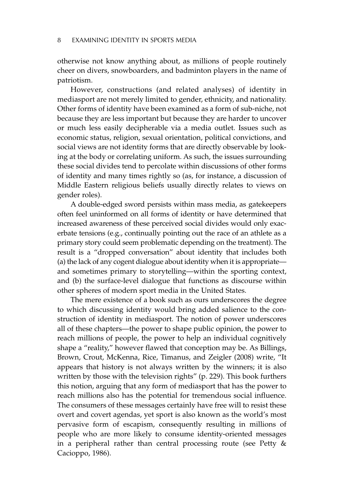otherwise not know anything about, as millions of people routinely cheer on divers, snowboarders, and badminton players in the name of patriotism.

However, constructions (and related analyses) of identity in mediasport are not merely limited to gender, ethnicity, and nationality. Other forms of identity have been examined as a form of sub-niche, not because they are less important but because they are harder to uncover or much less easily decipherable via a media outlet. Issues such as economic status, religion, sexual orientation, political convictions, and social views are not identity forms that are directly observable by looking at the body or correlating uniform. As such, the issues surrounding these social divides tend to percolate within discussions of other forms of identity and many times rightly so (as, for instance, a discussion of Middle Eastern religious beliefs usually directly relates to views on gender roles).

A double-edged sword persists within mass media, as gatekeepers often feel uninformed on all forms of identity or have determined that increased awareness of these perceived social divides would only exacerbate tensions (e.g., continually pointing out the race of an athlete as a primary story could seem problematic depending on the treatment). The result is a "dropped conversation" about identity that includes both (a) the lack of any cogent dialogue about identity when it is appropriate and sometimes primary to storytelling—within the sporting context, and (b) the surface-level dialogue that functions as discourse within other spheres of modern sport media in the United States.

The mere existence of a book such as ours underscores the degree to which discussing identity would bring added salience to the construction of identity in mediasport. The notion of power underscores all of these chapters—the power to shape public opinion, the power to reach millions of people, the power to help an individual cognitively shape a "reality," however flawed that conception may be. As Billings, Brown, Crout, McKenna, Rice, Timanus, and Zeigler (2008) write, "It appears that history is not always written by the winners; it is also written by those with the television rights" (p. 229). This book furthers this notion, arguing that any form of mediasport that has the power to reach millions also has the potential for tremendous social influence. The consumers of these messages certainly have free will to resist these overt and covert agendas, yet sport is also known as the world's most pervasive form of escapism, consequently resulting in millions of people who are more likely to consume identity-oriented messages in a peripheral rather than central processing route (see Petty & Cacioppo, 1986).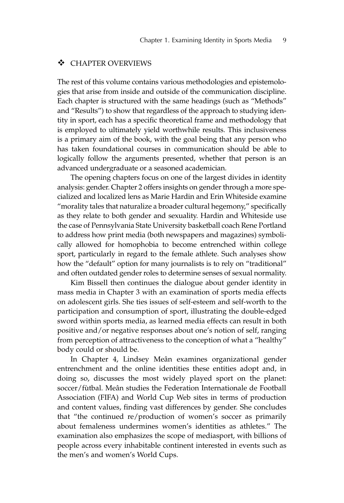# - CHAPTER OVERVIEWS

The rest of this volume contains various methodologies and epistemologies that arise from inside and outside of the communication discipline. Each chapter is structured with the same headings (such as "Methods" and "Results") to show that regardless of the approach to studying identity in sport, each has a specific theoretical frame and methodology that is employed to ultimately yield worthwhile results. This inclusiveness is a primary aim of the book, with the goal being that any person who has taken foundational courses in communication should be able to logically follow the arguments presented, whether that person is an advanced undergraduate or a seasoned academician.

The opening chapters focus on one of the largest divides in identity analysis: gender. Chapter 2 offers insights on gender through a more specialized and localized lens as Marie Hardin and Erin Whiteside examine "morality tales that naturalize a broader cultural hegemony," specifically as they relate to both gender and sexuality. Hardin and Whiteside use the case of Pennsylvania State University basketball coach Rene Portland to address how print media (both newspapers and magazines) symbolically allowed for homophobia to become entrenched within college sport, particularly in regard to the female athlete. Such analyses show how the "default" option for many journalists is to rely on "traditional" and often outdated gender roles to determine senses of sexual normality.

Kim Bissell then continues the dialogue about gender identity in mass media in Chapter 3 with an examination of sports media effects on adolescent girls. She ties issues of self-esteem and self-worth to the participation and consumption of sport, illustrating the double-edged sword within sports media, as learned media effects can result in both positive and/or negative responses about one's notion of self, ranging from perception of attractiveness to the conception of what a "healthy" body could or should be.

In Chapter 4, Lindsey Meân examines organizational gender entrenchment and the online identities these entities adopt and, in doing so, discusses the most widely played sport on the planet: soccer/fùtbal. Meân studies the Federation Internationale de Football Association (FIFA) and World Cup Web sites in terms of production and content values, finding vast differences by gender. She concludes that "the continued re/production of women's soccer as primarily about femaleness undermines women's identities as athletes." The examination also emphasizes the scope of mediasport, with billions of people across every inhabitable continent interested in events such as the men's and women's World Cups.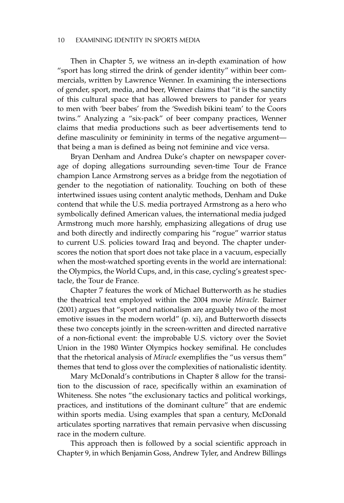Then in Chapter 5, we witness an in-depth examination of how "sport has long stirred the drink of gender identity" within beer commercials, written by Lawrence Wenner. In examining the intersections of gender, sport, media, and beer, Wenner claims that "it is the sanctity of this cultural space that has allowed brewers to pander for years to men with 'beer babes' from the 'Swedish bikini team' to the Coors twins." Analyzing a "six-pack" of beer company practices, Wenner claims that media productions such as beer advertisements tend to define masculinity or femininity in terms of the negative argument that being a man is defined as being not feminine and vice versa.

Bryan Denham and Andrea Duke's chapter on newspaper coverage of doping allegations surrounding seven-time Tour de France champion Lance Armstrong serves as a bridge from the negotiation of gender to the negotiation of nationality. Touching on both of these intertwined issues using content analytic methods, Denham and Duke contend that while the U.S. media portrayed Armstrong as a hero who symbolically defined American values, the international media judged Armstrong much more harshly, emphasizing allegations of drug use and both directly and indirectly comparing his "rogue" warrior status to current U.S. policies toward Iraq and beyond. The chapter underscores the notion that sport does not take place in a vacuum, especially when the most-watched sporting events in the world are international: the Olympics, the World Cups, and, in this case, cycling's greatest spectacle, the Tour de France.

Chapter 7 features the work of Michael Butterworth as he studies the theatrical text employed within the 2004 movie *Miracle.* Bairner (2001) argues that "sport and nationalism are arguably two of the most emotive issues in the modern world" (p. xi), and Butterworth dissects these two concepts jointly in the screen-written and directed narrative of a non-fictional event: the improbable U.S. victory over the Soviet Union in the 1980 Winter Olympics hockey semifinal. He concludes that the rhetorical analysis of *Miracle* exemplifies the "us versus them" themes that tend to gloss over the complexities of nationalistic identity.

Mary McDonald's contributions in Chapter 8 allow for the transition to the discussion of race, specifically within an examination of Whiteness. She notes "the exclusionary tactics and political workings, practices, and institutions of the dominant culture" that are endemic within sports media. Using examples that span a century, McDonald articulates sporting narratives that remain pervasive when discussing race in the modern culture.

This approach then is followed by a social scientific approach in Chapter 9, in which Benjamin Goss, Andrew Tyler, and Andrew Billings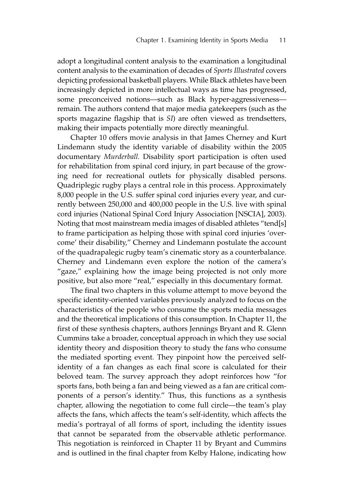adopt a longitudinal content analysis to the examination a longitudinal content analysis to the examination of decades of *Sports Illustrated* covers depicting professional basketball players. While Black athletes have been increasingly depicted in more intellectual ways as time has progressed, some preconceived notions—such as Black hyper-aggressiveness remain. The authors contend that major media gatekeepers (such as the sports magazine flagship that is *SI*) are often viewed as trendsetters, making their impacts potentially more directly meaningful.

Chapter 10 offers movie analysis in that James Cherney and Kurt Lindemann study the identity variable of disability within the 2005 documentary *Murderball.* Disability sport participation is often used for rehabilitation from spinal cord injury, in part because of the growing need for recreational outlets for physically disabled persons. Quadriplegic rugby plays a central role in this process. Approximately 8,000 people in the U.S. suffer spinal cord injuries every year, and currently between 250,000 and 400,000 people in the U.S. live with spinal cord injuries (National Spinal Cord Injury Association [NSCIA], 2003). Noting that most mainstream media images of disabled athletes "tend[s] to frame participation as helping those with spinal cord injuries 'overcome' their disability," Cherney and Lindemann postulate the account of the quadrapalegic rugby team's cinematic story as a counterbalance. Cherney and Lindemann even explore the notion of the camera's "gaze," explaining how the image being projected is not only more positive, but also more "real," especially in this documentary format.

The final two chapters in this volume attempt to move beyond the specific identity-oriented variables previously analyzed to focus on the characteristics of the people who consume the sports media messages and the theoretical implications of this consumption. In Chapter 11, the first of these synthesis chapters, authors Jennings Bryant and R. Glenn Cummins take a broader, conceptual approach in which they use social identity theory and disposition theory to study the fans who consume the mediated sporting event. They pinpoint how the perceived selfidentity of a fan changes as each final score is calculated for their beloved team. The survey approach they adopt reinforces how "for sports fans, both being a fan and being viewed as a fan are critical components of a person's identity." Thus, this functions as a synthesis chapter, allowing the negotiation to come full circle—the team's play affects the fans, which affects the team's self-identity, which affects the media's portrayal of all forms of sport, including the identity issues that cannot be separated from the observable athletic performance. This negotiation is reinforced in Chapter 11 by Bryant and Cummins and is outlined in the final chapter from Kelby Halone, indicating how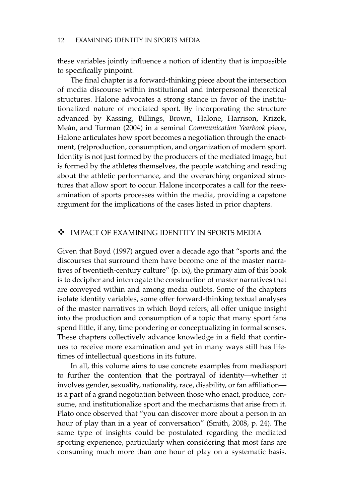these variables jointly influence a notion of identity that is impossible to specifically pinpoint.

The final chapter is a forward-thinking piece about the intersection of media discourse within institutional and interpersonal theoretical structures. Halone advocates a strong stance in favor of the institutionalized nature of mediated sport. By incorporating the structure advanced by Kassing, Billings, Brown, Halone, Harrison, Krizek, Meân, and Turman (2004) in a seminal *Communication Yearbook* piece, Halone articulates how sport becomes a negotiation through the enactment, (re)production, consumption, and organization of modern sport. Identity is not just formed by the producers of the mediated image, but is formed by the athletes themselves, the people watching and reading about the athletic performance, and the overarching organized structures that allow sport to occur. Halone incorporates a call for the reexamination of sports processes within the media, providing a capstone argument for the implications of the cases listed in prior chapters.

# - IMPACT OF EXAMINING IDENTITY IN SPORTS MEDIA

Given that Boyd (1997) argued over a decade ago that "sports and the discourses that surround them have become one of the master narratives of twentieth-century culture" (p. ix), the primary aim of this book is to decipher and interrogate the construction of master narratives that are conveyed within and among media outlets. Some of the chapters isolate identity variables, some offer forward-thinking textual analyses of the master narratives in which Boyd refers; all offer unique insight into the production and consumption of a topic that many sport fans spend little, if any, time pondering or conceptualizing in formal senses. These chapters collectively advance knowledge in a field that continues to receive more examination and yet in many ways still has lifetimes of intellectual questions in its future.

In all, this volume aims to use concrete examples from mediasport to further the contention that the portrayal of identity—whether it involves gender, sexuality, nationality, race, disability, or fan affiliation is a part of a grand negotiation between those who enact, produce, consume, and institutionalize sport and the mechanisms that arise from it. Plato once observed that "you can discover more about a person in an hour of play than in a year of conversation" (Smith, 2008, p. 24). The same type of insights could be postulated regarding the mediated sporting experience, particularly when considering that most fans are consuming much more than one hour of play on a systematic basis.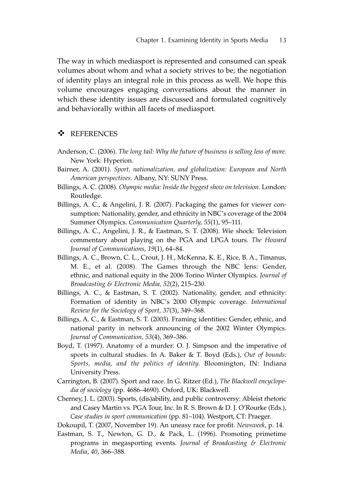The way in which mediasport is represented and consumed can speak volumes about whom and what a society strives to be; the negotiation of identity plays an integral role in this process as well. We hope this volume encourages engaging conversations about the manner in which these identity issues are discussed and formulated cognitively and behaviorally within all facets of mediasport.

# - REFERENCES

- Anderson, C. (2006). *The long tail: Why the future of business is selling less of more*. New York: Hyperion.
- Bairner, A. (2001). *Sport, nationalization, and globalization: European and North American perspectives*. Albany, NY: SUNY Press.
- Billings, A. C. (2008). *Olympic media: Inside the biggest show on television*. London: Routledge.
- Billings, A. C., & Angelini, J. R. (2007). Packaging the games for viewer consumption: Nationality, gender, and ethnicity in NBC's coverage of the 2004 Summer Olympics. *Communication Quarterly, 55*(1), 95–111.
- Billings, A. C., Angelini, J. R., & Eastman, S. T. (2008). Wie shock: Television commentary about playing on the PGA and LPGA tours. *The Howard Journal of Communications, 19*(1), 64–84.
- Billings, A. C., Brown, C. L., Crout, J. H., McKenna, K. E., Rice, B. A., Timanus, M. E., et al. (2008). The Games through the NBC lens: Gender, ethnic, and national equity in the 2006 Torino Winter Olympics. *Journal of Broadcasting & Electronic Media, 52*(2), 215–230.
- Billings, A. C., & Eastman, S. T. (2002). Nationality, gender, and ethnicity: Formation of identity in NBC's 2000 Olympic coverage. *International Review for the Sociology of Sport, 37*(3), 349–368.
- Billings, A. C., & Eastman, S. T. (2003). Framing identities: Gender, ethnic, and national parity in network announcing of the 2002 Winter Olympics. *Journal of Communication, 53*(4), 369–386.
- Boyd, T. (1997). Anatomy of a murder: O. J. Simpson and the imperative of sports in cultural studies. In A. Baker & T. Boyd (Eds.), *Out of bounds: Sports, media, and the politics of identity.* Bloomington, IN: Indiana University Press.
- Carrington, B. (2007). Sport and race. In G. Ritzer (Ed.), *The Blackwell encyclopedia of sociology* (pp. 4686–4690). Oxford, UK: Blackwell.
- Cherney, J. L. (2003). Sports, (dis)ability, and public controversy: Ableist rhetoric and Casey Martin vs. PGA Tour, Inc. In R. S. Brown & D. J. O'Rourke (Eds.), *Case studies in sport communication* (pp. 81–104). Westport, CT: Praeger.
- Dokoupil, T. (2007, November 19). An uneasy race for profit. *Newsweek*, p. 14.
- Eastman, S. T., Newton, G. D., & Pack, L. (1996). Promoting primetime programs in megasporting events. *Journal of Broadcasting & Electronic Media*, *40*, 366–388.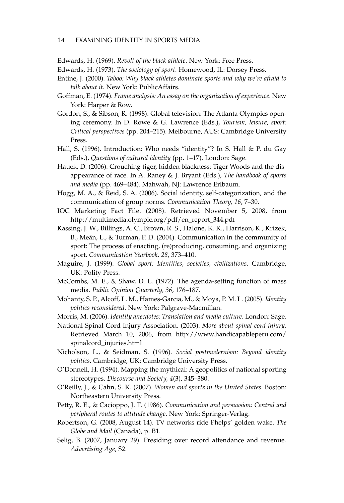- Edwards, H. (1969). *Revolt of the black athlete*. New York: Free Press.
- Edwards, H. (1973). *The sociology of sport*. Homewood, IL: Dorsey Press.
- Entine, J. (2000). *Taboo: Why black athletes dominate sports and why we're afraid to talk about it.* New York: PublicAffairs.
- Goffman, E. (1974). *Frame analysis: An essay on the organization of experience*. New York: Harper & Row.
- Gordon, S., & Sibson, R. (1998). Global television: The Atlanta Olympics opening ceremony. In D. Rowe & G. Lawrence (Eds.), *Tourism, leisure, sport: Critical perspectives* (pp. 204–215). Melbourne, AUS: Cambridge University Press.
- Hall, S. (1996). Introduction: Who needs "identity"? In S. Hall & P. du Gay (Eds.), *Questions of cultural identity* (pp. 1–17). London: Sage.
- Hauck, D. (2006). Crouching tiger, hidden blackness: Tiger Woods and the disappearance of race. In A. Raney & J. Bryant (Eds.), *The handbook of sports and media* (pp. 469–484). Mahwah, NJ: Lawrence Erlbaum.
- Hogg, M. A., & Reid, S. A. (2006). Social identity, self-categorization, and the communication of group norms. *Communication Theory, 16*, 7–30.
- IOC Marketing Fact File. (2008). Retrieved November 5, 2008, from http://multimedia.olympic.org/pdf/en\_report\_344.pdf
- Kassing, J. W., Billings, A. C., Brown, R. S., Halone, K. K., Harrison, K., Krizek, B., Meân, L., & Turman, P. D. (2004). Communication in the community of sport: The process of enacting, (re)producing, consuming, and organizing sport. *Communication Yearbook, 28*, 373–410.
- Maguire, J. (1999). *Global sport: Identities, societies, civilizations*. Cambridge, UK: Polity Press.
- McCombs, M. E., & Shaw, D. L. (1972). The agenda-setting function of mass media. *Public Opinion Quarterly, 36*, 176–187.
- Mohanty, S. P., Alcoff, L. M., Hames-Garcia, M., & Moya, P. M. L. (2005). *Identity politics reconsidered*. New York: Palgrave-Macmillan.
- Morris, M. (2006). *Identity anecdotes: Translation and media culture*. London: Sage.
- National Spinal Cord Injury Association. (2003). *More about spinal cord injury*. Retrieved March 10, 2006, from http://www.handicapableperu.com/ spinalcord\_injuries.html
- Nicholson, L., & Seidman, S. (1996). *Social postmodernism: Beyond identity politics*. Cambridge, UK: Cambridge University Press.
- O'Donnell, H. (1994). Mapping the mythical: A geopolitics of national sporting stereotypes. *Discourse and Society, 4*(3), 345–380.
- O'Reilly, J., & Cahn, S. K. (2007). *Women and sports in the United States*. Boston: Northeastern University Press.
- Petty, R. E., & Cacioppo, J. T. (1986). *Communication and persuasion: Central and peripheral routes to attitude change*. New York: Springer-Verlag.
- Robertson, G. (2008, August 14). TV networks ride Phelps' golden wake. *The Globe and Mail* (Canada), p. B1.
- Selig, B. (2007, January 29). Presiding over record attendance and revenue. *Advertising Age*, S2.